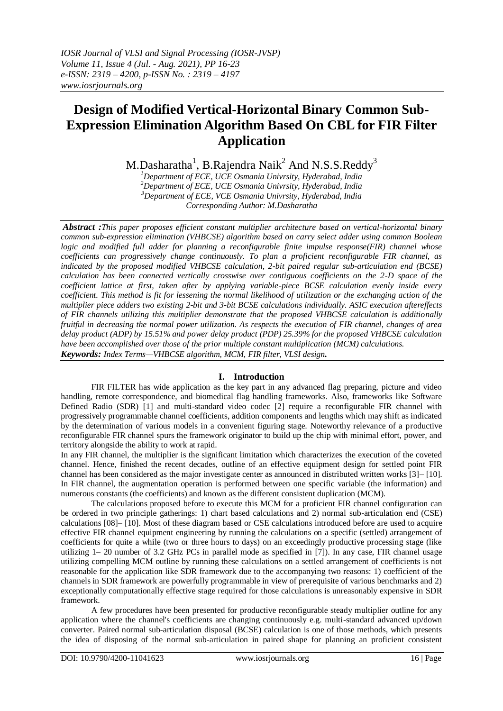# **Design of Modified Vertical-Horizontal Binary Common Sub-Expression Elimination Algorithm Based On CBL for FIR Filter Application**

M.Dasharatha $^1$ , B.Rajendra Naik $^2$  And N.S.S.Reddy $^3$ 

*Department of ECE, UCE Osmania Univrsity, Hyderabad, India Department of ECE, UCE Osmania Univrsity, Hyderabad, India Department of ECE, VCE Osmania Univrsity, Hyderabad, India Corresponding Author: M.Dasharatha*

*Abstract :This paper proposes efficient constant multiplier architecture based on vertical-horizontal binary common sub-expression elimination (VHBCSE) algorithm based on carry select adder using common Boolean logic and modified full adder for planning a reconfigurable finite impulse response(FIR) channel whose coefficients can progressively change continuously. To plan a proficient reconfigurable FIR channel, as indicated by the proposed modified VHBCSE calculation, 2-bit paired regular sub-articulation end (BCSE) calculation has been connected vertically crosswise over contiguous coefficients on the 2-D space of the coefficient lattice at first, taken after by applying variable-piece BCSE calculation evenly inside every coefficient. This method is fit for lessening the normal likelihood of utilization or the exchanging action of the multiplier piece adders two existing 2-bit and 3-bit BCSE calculations individually. ASIC execution aftereffects of FIR channels utilizing this multiplier demonstrate that the proposed VHBCSE calculation is additionally fruitful in decreasing the normal power utilization. As respects the execution of FIR channel, changes of area delay product (ADP) by 15.51% and power delay product (PDP) 25.39% for the proposed VHBCSE calculation have been accomplished over those of the prior multiple constant multiplication (MCM) calculations. Keywords: Index Terms—VHBCSE algorithm, MCM, FIR filter, VLSI design.*

## **I. Introduction**

FIR FILTER has wide application as the key part in any advanced flag preparing, picture and video handling, remote correspondence, and biomedical flag handling frameworks. Also, frameworks like Software Defined Radio (SDR) [1] and multi-standard video codec [2] require a reconfigurable FIR channel with progressively programmable channel coefficients, addition components and lengths which may shift as indicated by the determination of various models in a convenient figuring stage. Noteworthy relevance of a productive reconfigurable FIR channel spurs the framework originator to build up the chip with minimal effort, power, and territory alongside the ability to work at rapid.

In any FIR channel, the multiplier is the significant limitation which characterizes the execution of the coveted channel. Hence, finished the recent decades, outline of an effective equipment design for settled point FIR channel has been considered as the major investigate center as announced in distributed written works [3]– [10]. In FIR channel, the augmentation operation is performed between one specific variable (the information) and numerous constants (the coefficients) and known as the different consistent duplication (MCM).

The calculations proposed before to execute this MCM for a proficient FIR channel configuration can be ordered in two principle gatherings: 1) chart based calculations and 2) normal sub-articulation end (CSE) calculations [08]– [10]. Most of these diagram based or CSE calculations introduced before are used to acquire effective FIR channel equipment engineering by running the calculations on a specific (settled) arrangement of coefficients for quite a while (two or three hours to days) on an exceedingly productive processing stage (like utilizing 1– 20 number of 3.2 GHz PCs in parallel mode as specified in [7]). In any case, FIR channel usage utilizing compelling MCM outline by running these calculations on a settled arrangement of coefficients is not reasonable for the application like SDR framework due to the accompanying two reasons: 1) coefficient of the channels in SDR framework are powerfully programmable in view of prerequisite of various benchmarks and 2) exceptionally computationally effective stage required for those calculations is unreasonably expensive in SDR framework.

A few procedures have been presented for productive reconfigurable steady multiplier outline for any application where the channel's coefficients are changing continuously e.g. multi-standard advanced up/down converter. Paired normal sub-articulation disposal (BCSE) calculation is one of those methods, which presents the idea of disposing of the normal sub-articulation in paired shape for planning an proficient consistent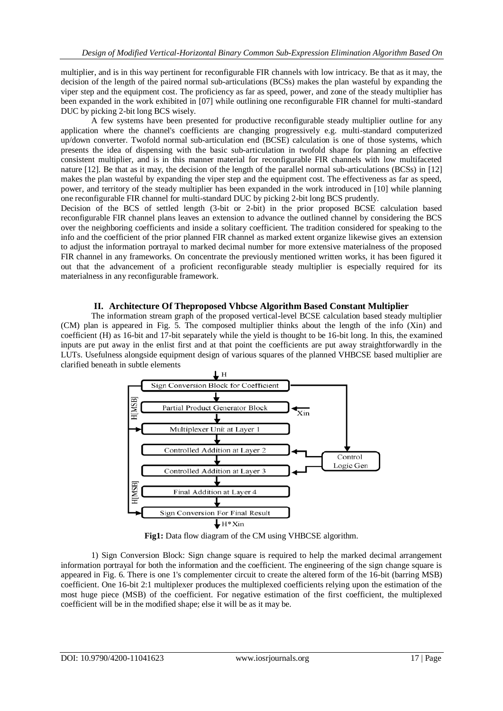multiplier, and is in this way pertinent for reconfigurable FIR channels with low intricacy. Be that as it may, the decision of the length of the paired normal sub-articulations (BCSs) makes the plan wasteful by expanding the viper step and the equipment cost. The proficiency as far as speed, power, and zone of the steady multiplier has been expanded in the work exhibited in [07] while outlining one reconfigurable FIR channel for multi-standard DUC by picking 2-bit long BCS wisely.

A few systems have been presented for productive reconfigurable steady multiplier outline for any application where the channel's coefficients are changing progressively e.g. multi-standard computerized up/down converter. Twofold normal sub-articulation end (BCSE) calculation is one of those systems, which presents the idea of dispensing with the basic sub-articulation in twofold shape for planning an effective consistent multiplier, and is in this manner material for reconfigurable FIR channels with low multifaceted nature [12]. Be that as it may, the decision of the length of the parallel normal sub-articulations (BCSs) in [12] makes the plan wasteful by expanding the viper step and the equipment cost. The effectiveness as far as speed, power, and territory of the steady multiplier has been expanded in the work introduced in [10] while planning one reconfigurable FIR channel for multi-standard DUC by picking 2-bit long BCS prudently.

Decision of the BCS of settled length (3-bit or 2-bit) in the prior proposed BCSE calculation based reconfigurable FIR channel plans leaves an extension to advance the outlined channel by considering the BCS over the neighboring coefficients and inside a solitary coefficient. The tradition considered for speaking to the info and the coefficient of the prior planned FIR channel as marked extent organize likewise gives an extension to adjust the information portrayal to marked decimal number for more extensive materialness of the proposed FIR channel in any frameworks. On concentrate the previously mentioned written works, it has been figured it out that the advancement of a proficient reconfigurable steady multiplier is especially required for its materialness in any reconfigurable framework.

### **II. Architecture Of Theproposed Vhbcse Algorithm Based Constant Multiplier**

The information stream graph of the proposed vertical-level BCSE calculation based steady multiplier (CM) plan is appeared in Fig. 5. The composed multiplier thinks about the length of the info (Xin) and coefficient (H) as 16-bit and 17-bit separately while the yield is thought to be 16-bit long. In this, the examined inputs are put away in the enlist first and at that point the coefficients are put away straightforwardly in the LUTs. Usefulness alongside equipment design of various squares of the planned VHBCSE based multiplier are clarified beneath in subtle elements



Fig1: Data flow diagram of the CM using VHBCSE algorithm.

1) Sign Conversion Block: Sign change square is required to help the marked decimal arrangement information portrayal for both the information and the coefficient. The engineering of the sign change square is appeared in Fig. 6. There is one 1's complementer circuit to create the altered form of the 16-bit (barring MSB) coefficient. One 16-bit 2:1 multiplexer produces the multiplexed coefficients relying upon the estimation of the most huge piece (MSB) of the coefficient. For negative estimation of the first coefficient, the multiplexed coefficient will be in the modified shape; else it will be as it may be.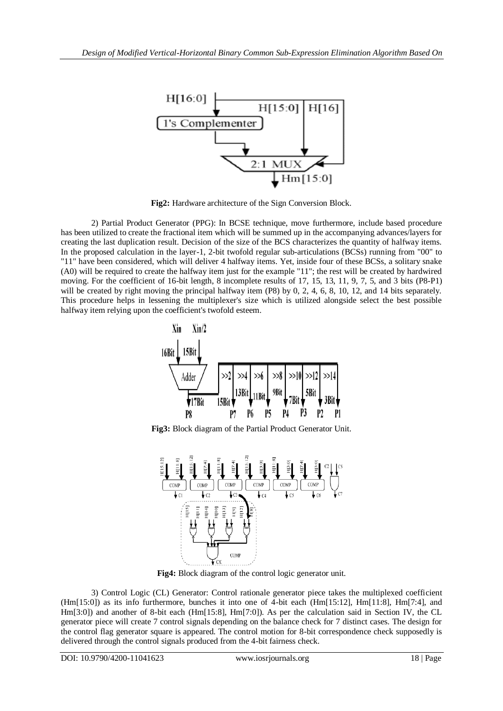

**Fig2:** Hardware architecture of the Sign Conversion Block.

2) Partial Product Generator (PPG): In BCSE technique, move furthermore, include based procedure has been utilized to create the fractional item which will be summed up in the accompanying advances/layers for creating the last duplication result. Decision of the size of the BCS characterizes the quantity of halfway items. In the proposed calculation in the layer-1, 2-bit twofold regular sub-articulations (BCSs) running from "00" to "11" have been considered, which will deliver 4 halfway items. Yet, inside four of these BCSs, a solitary snake (A0) will be required to create the halfway item just for the example "11"; the rest will be created by hardwired moving. For the coefficient of 16-bit length, 8 incomplete results of 17, 15, 13, 11, 9, 7, 5, and 3 bits (P8-P1) will be created by right moving the principal halfway item (P8) by 0, 2, 4, 6, 8, 10, 12, and 14 bits separately. This procedure helps in lessening the multiplexer's size which is utilized alongside select the best possible halfway item relying upon the coefficient's twofold esteem.



**Fig3:** Block diagram of the Partial Product Generator Unit.



**Fig4:** Block diagram of the control logic generator unit.

3) Control Logic (CL) Generator: Control rationale generator piece takes the multiplexed coefficient (Hm[15:0]) as its info furthermore, bunches it into one of 4-bit each (Hm[15:12], Hm[11:8], Hm[7:4], and Hm[3:0]) and another of 8-bit each (Hm[15:8], Hm[7:0]). As per the calculation said in Section IV, the CL generator piece will create 7 control signals depending on the balance check for 7 distinct cases. The design for the control flag generator square is appeared. The control motion for 8-bit correspondence check supposedly is delivered through the control signals produced from the 4-bit fairness check.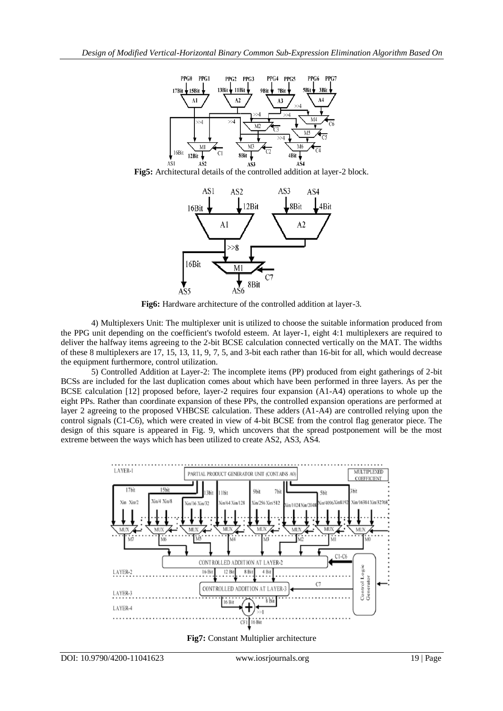

**Fig5:** Architectural details of the controlled addition at layer-2 block.



**Fig6:** Hardware architecture of the controlled addition at layer-3.

4) Multiplexers Unit: The multiplexer unit is utilized to choose the suitable information produced from the PPG unit depending on the coefficient's twofold esteem. At layer-1, eight 4:1 multiplexers are required to deliver the halfway items agreeing to the 2-bit BCSE calculation connected vertically on the MAT. The widths of these 8 multiplexers are 17, 15, 13, 11, 9, 7, 5, and 3-bit each rather than 16-bit for all, which would decrease the equipment furthermore, control utilization.

5) Controlled Addition at Layer-2: The incomplete items (PP) produced from eight gatherings of 2-bit BCSs are included for the last duplication comes about which have been performed in three layers. As per the BCSE calculation [12] proposed before, layer-2 requires four expansion (A1-A4) operations to whole up the eight PPs. Rather than coordinate expansion of these PPs, the controlled expansion operations are performed at layer 2 agreeing to the proposed VHBCSE calculation. These adders (A1-A4) are controlled relying upon the control signals (C1-C6), which were created in view of 4-bit BCSE from the control flag generator piece. The design of this square is appeared in Fig. 9, which uncovers that the spread postponement will be the most extreme between the ways which has been utilized to create AS2, AS3, AS4.



**Fig7:** Constant Multiplier architecture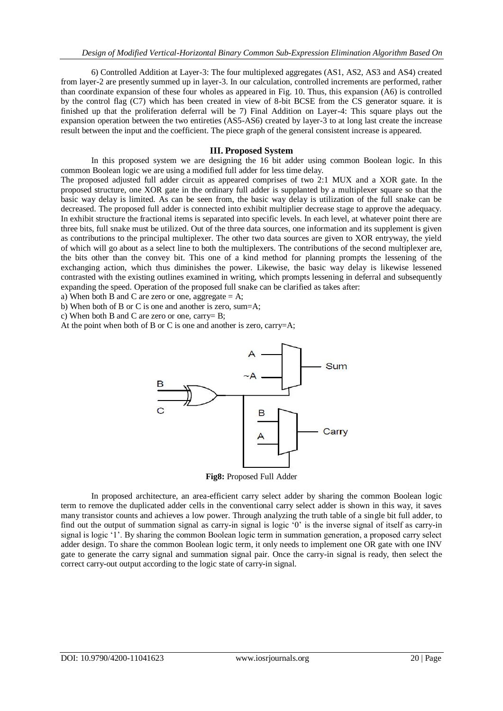6) Controlled Addition at Layer-3: The four multiplexed aggregates (AS1, AS2, AS3 and AS4) created from layer-2 are presently summed up in layer-3. In our calculation, controlled increments are performed, rather than coordinate expansion of these four wholes as appeared in Fig. 10. Thus, this expansion (A6) is controlled by the control flag (C7) which has been created in view of 8-bit BCSE from the CS generator square. it is finished up that the proliferation deferral will be 7) Final Addition on Layer-4: This square plays out the expansion operation between the two entireties (AS5-AS6) created by layer-3 to at long last create the increase result between the input and the coefficient. The piece graph of the general consistent increase is appeared.

#### **III. Proposed System**

In this proposed system we are designing the 16 bit adder using common Boolean logic. In this common Boolean logic we are using a modified full adder for less time delay.

The proposed adjusted full adder circuit as appeared comprises of two 2:1 MUX and a XOR gate. In the proposed structure, one XOR gate in the ordinary full adder is supplanted by a multiplexer square so that the basic way delay is limited. As can be seen from, the basic way delay is utilization of the full snake can be decreased. The proposed full adder is connected into exhibit multiplier decrease stage to approve the adequacy. In exhibit structure the fractional items is separated into specific levels. In each level, at whatever point there are three bits, full snake must be utilized. Out of the three data sources, one information and its supplement is given as contributions to the principal multiplexer. The other two data sources are given to XOR entryway, the yield of which will go about as a select line to both the multiplexers. The contributions of the second multiplexer are, the bits other than the convey bit. This one of a kind method for planning prompts the lessening of the exchanging action, which thus diminishes the power. Likewise, the basic way delay is likewise lessened contrasted with the existing outlines examined in writing, which prompts lessening in deferral and subsequently expanding the speed. Operation of the proposed full snake can be clarified as takes after:

a) When both B and C are zero or one, aggregate  $= A$ ;

b) When both of B or C is one and another is zero, sum=A;

c) When both B and C are zero or one, carry= B;

At the point when both of B or C is one and another is zero, carry=A;



**Fig8:** Proposed Full Adder

In proposed architecture, an area-efficient carry select adder by sharing the common Boolean logic term to remove the duplicated adder cells in the conventional carry select adder is shown in this way, it saves many transistor counts and achieves a low power. Through analyzing the truth table of a single bit full adder, to find out the output of summation signal as carry-in signal is logic '0' is the inverse signal of itself as carry-in signal is logic '1'. By sharing the common Boolean logic term in summation generation, a proposed carry select adder design. To share the common Boolean logic term, it only needs to implement one OR gate with one INV gate to generate the carry signal and summation signal pair. Once the carry-in signal is ready, then select the correct carry-out output according to the logic state of carry-in signal.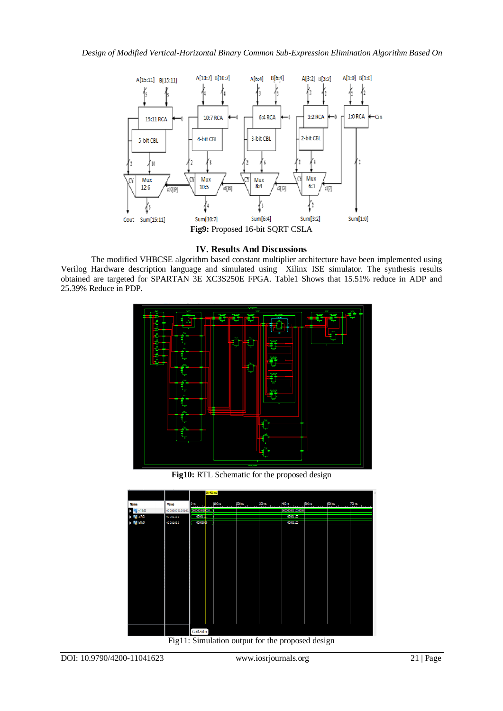

## **IV. Results And Discussions**

The modified VHBCSE algorithm based constant multiplier architecture have been implemented using Verilog Hardware description language and simulated using Xilinx ISE simulator. The synthesis results obtained are targeted for SPARTAN 3E XC3S250E FPGA. Table1 Shows that 15.51% reduce in ADP and 25.39% Reduce in PDP.



**Fig10:** RTL Schematic for the proposed design



Fig11: Simulation output for the proposed design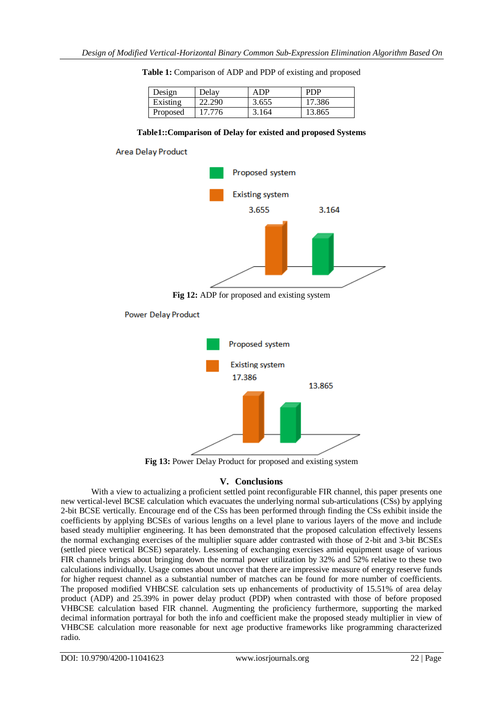| Design   | Delav  | ADP   | <b>PDP</b> |
|----------|--------|-------|------------|
| Existing | 22.290 | 3.655 | 17.386     |
| Proposed | 17.776 | 3.164 | 13.865     |

|  | Table 1: Comparison of ADP and PDP of existing and proposed |  |  |  |  |
|--|-------------------------------------------------------------|--|--|--|--|
|--|-------------------------------------------------------------|--|--|--|--|

#### **Table1::Comparison of Delay for existed and proposed Systems**



**Power Delay Product** 



**Fig 13:** Power Delay Product for proposed and existing system

## **V. Conclusions**

With a view to actualizing a proficient settled point reconfigurable FIR channel, this paper presents one new vertical-level BCSE calculation which evacuates the underlying normal sub-articulations (CSs) by applying 2-bit BCSE vertically. Encourage end of the CSs has been performed through finding the CSs exhibit inside the coefficients by applying BCSEs of various lengths on a level plane to various layers of the move and include based steady multiplier engineering. It has been demonstrated that the proposed calculation effectively lessens the normal exchanging exercises of the multiplier square adder contrasted with those of 2-bit and 3-bit BCSEs (settled piece vertical BCSE) separately. Lessening of exchanging exercises amid equipment usage of various FIR channels brings about bringing down the normal power utilization by 32% and 52% relative to these two calculations individually. Usage comes about uncover that there are impressive measure of energy reserve funds for higher request channel as a substantial number of matches can be found for more number of coefficients. The proposed modified VHBCSE calculation sets up enhancements of productivity of 15.51% of area delay product (ADP) and 25.39% in power delay product (PDP) when contrasted with those of before proposed VHBCSE calculation based FIR channel. Augmenting the proficiency furthermore, supporting the marked decimal information portrayal for both the info and coefficient make the proposed steady multiplier in view of VHBCSE calculation more reasonable for next age productive frameworks like programming characterized radio.

DOI: 10.9790/4200-11041623 www.iosrjournals.org 22 | Page